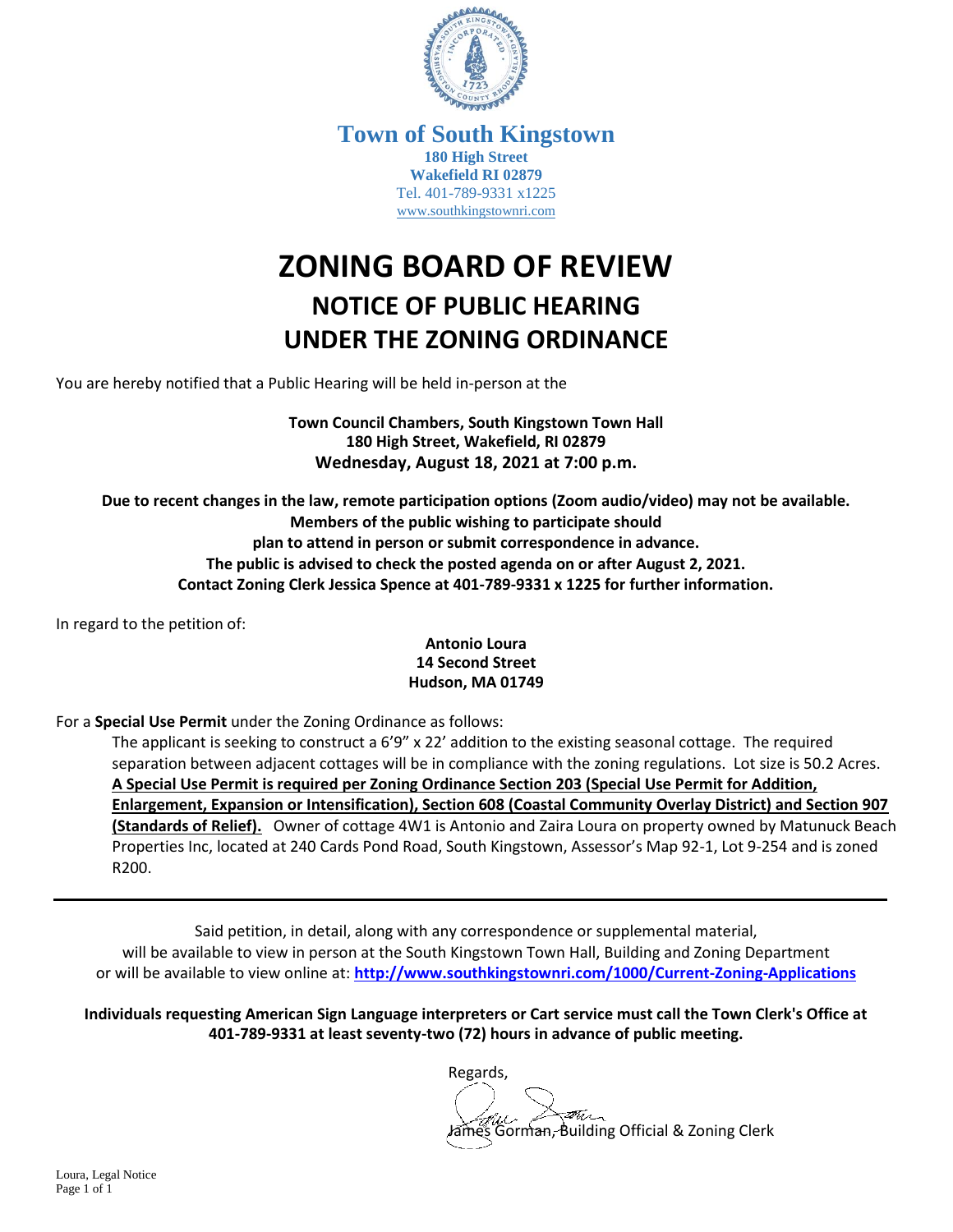

**Town of South Kingstown 180 High Street Wakefield RI 02879** Tel. 401-789-9331 x1225 [www.southkingstownri.com](http://www.southkingstownri.com/)

## **ZONING BOARD OF REVIEW NOTICE OF PUBLIC HEARING UNDER THE ZONING ORDINANCE**

You are hereby notified that a Public Hearing will be held in-person at the

**Town Council Chambers, South Kingstown Town Hall 180 High Street, Wakefield, RI 02879 Wednesday, August 18, 2021 at 7:00 p.m.**

**Due to recent changes in the law, remote participation options (Zoom audio/video) may not be available. Members of the public wishing to participate should plan to attend in person or submit correspondence in advance. The public is advised to check the posted agenda on or after August 2, 2021. Contact Zoning Clerk Jessica Spence at 401-789-9331 x 1225 for further information.**

In regard to the petition of:

## **Antonio Loura 14 Second Street Hudson, MA 01749**

For a **Special Use Permit** under the Zoning Ordinance as follows:

The applicant is seeking to construct a 6'9" x 22' addition to the existing seasonal cottage. The required separation between adjacent cottages will be in compliance with the zoning regulations. Lot size is 50.2 Acres. **A Special Use Permit is required per Zoning Ordinance Section 203 (Special Use Permit for Addition, Enlargement, Expansion or Intensification), Section 608 (Coastal Community Overlay District) and Section 907 (Standards of Relief).** Owner of cottage 4W1 is Antonio and Zaira Loura on property owned by Matunuck Beach Properties Inc, located at 240 Cards Pond Road, South Kingstown, Assessor's Map 92-1, Lot 9-254 and is zoned R200.

Said petition, in detail, along with any correspondence or supplemental material, will be available to view in person at the South Kingstown Town Hall, Building and Zoning Department or will be available to view online at: **<http://www.southkingstownri.com/1000/Current-Zoning-Applications>**

**Individuals requesting American Sign Language interpreters or Cart service must call the Town Clerk's Office at 401-789-9331 at least seventy-two (72) hours in advance of public meeting.**

Regards,

Gorman, Building Official & Zoning Clerk